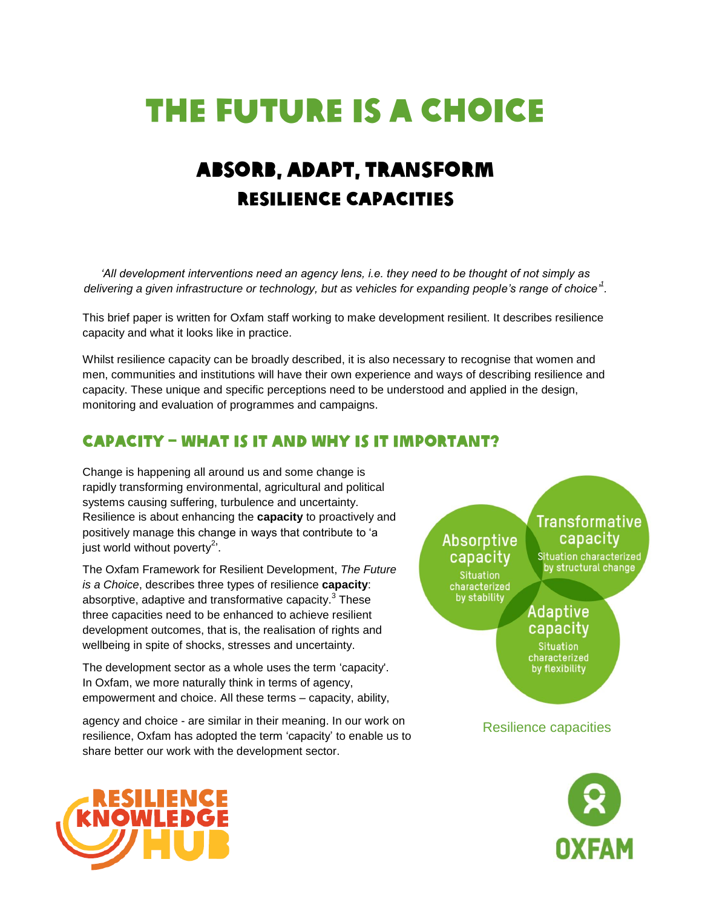# The Future is a Choice

## Absorb, adapt, transform Resilience Capacities

*'All development interventions need an agency lens, i.e. they need to be thought of not simply as delivering a given infrastructure or technology, but as vehicles for expanding people's range of choice' 1 .*

This brief paper is written for Oxfam staff working to make development resilient. It describes resilience capacity and what it looks like in practice.

Whilst resilience capacity can be broadly described, it is also necessary to recognise that women and men, communities and institutions will have their own experience and ways of describing resilience and capacity. These unique and specific perceptions need to be understood and applied in the design, monitoring and evaluation of programmes and campaigns.

### Capacity – what is it and why is it important?

Change is happening all around us and some change is rapidly transforming environmental, agricultural and political systems causing suffering, turbulence and uncertainty. Resilience is about enhancing the **capacity** to proactively and positively manage this change in ways that contribute to 'a just world without poverty<sup>2</sup>'.

The Oxfam Framework for Resilient Development, *The Future is a Choice*, describes three types of resilience **capacity**: absorptive, adaptive and transformative capacity. $^3$  These three capacities need to be enhanced to achieve resilient development outcomes, that is, the realisation of rights and wellbeing in spite of shocks, stresses and uncertainty.

The development sector as a whole uses the term 'capacity'. In Oxfam, we more naturally think in terms of agency, empowerment and choice. All these terms – capacity, ability,

agency and choice - are similar in their meaning. In our work on resilience, Oxfam has adopted the term 'capacity' to enable us to share better our work with the development sector.





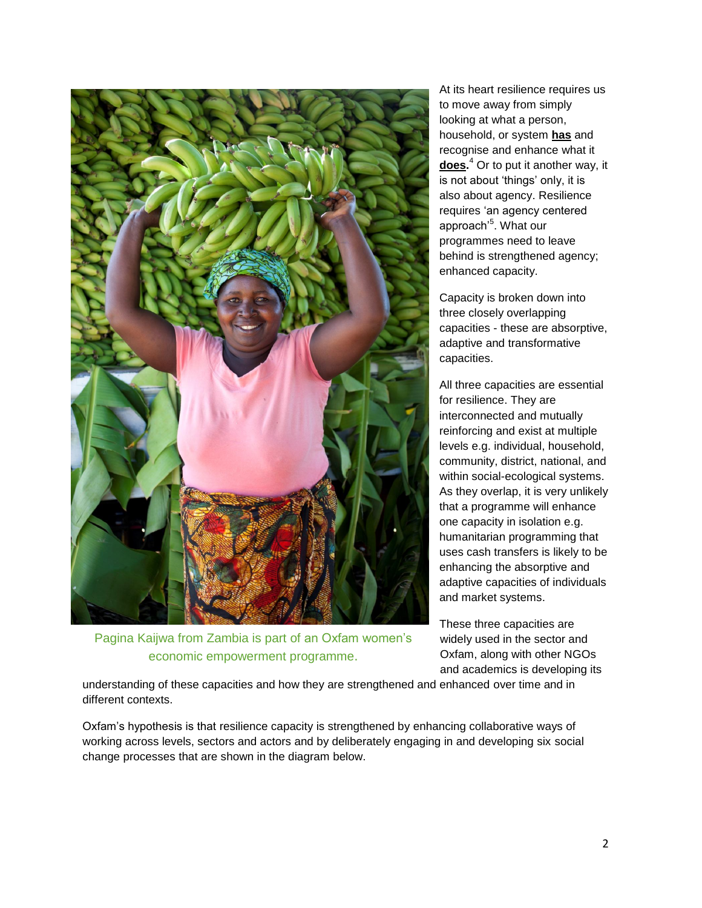

Pagina Kaijwa from Zambia is part of an Oxfam women's economic empowerment programme.

At its heart resilience requires us to move away from simply looking at what a person, household, or system **has** and recognise and enhance what it **does.** <sup>4</sup> Or to put it another way, it is not about 'things' only, it is also about agency. Resilience requires 'an agency centered approach'<sup>5</sup>. What our programmes need to leave behind is strengthened agency; enhanced capacity.

Capacity is broken down into three closely overlapping capacities - these are absorptive, adaptive and transformative capacities.

All three capacities are essential for resilience. They are interconnected and mutually reinforcing and exist at multiple levels e.g. individual, household, community, district, national, and within social-ecological systems. As they overlap, it is very unlikely that a programme will enhance one capacity in isolation e.g. humanitarian programming that uses cash transfers is likely to be enhancing the absorptive and adaptive capacities of individuals and market systems.

These three capacities are widely used in the sector and Oxfam, along with other NGOs and academics is developing its

understanding of these capacities and how they are strengthened and enhanced over time and in different contexts.

Oxfam's hypothesis is that resilience capacity is strengthened by enhancing collaborative ways of working across levels, sectors and actors and by deliberately engaging in and developing six social change processes that are shown in the diagram below.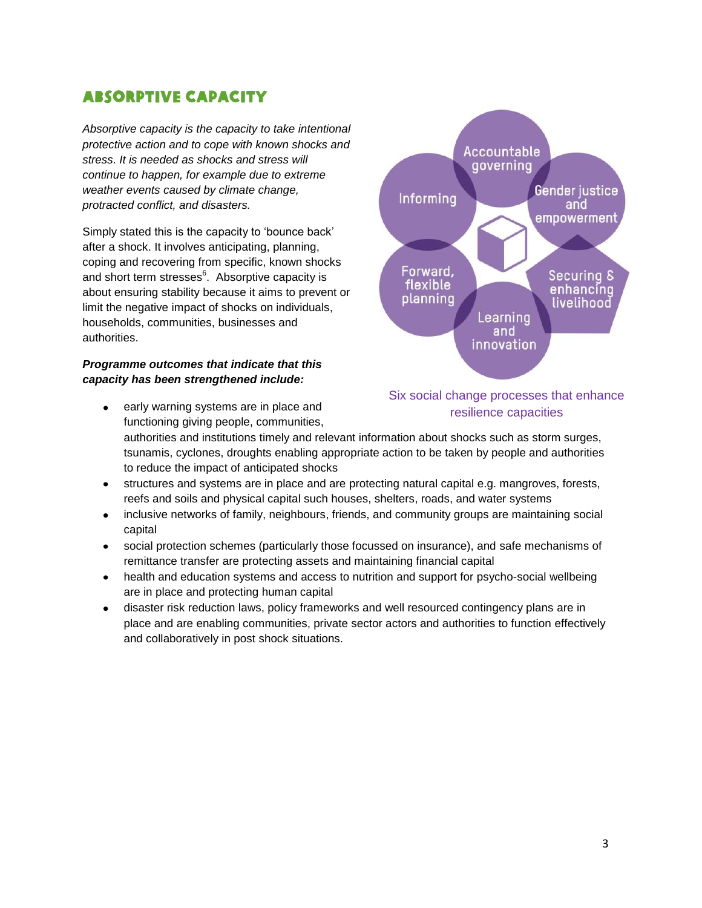## Absorptive capacity

*Absorptive capacity is the capacity to take intentional protective action and to cope with known shocks and stress. It is needed as shocks and stress will continue to happen, for example due to extreme weather events caused by climate change, protracted conflict, and disasters.*

Simply stated this is the capacity to 'bounce back' after a shock. It involves anticipating, planning, coping and recovering from specific, known shocks and short term stresses $6$ . Absorptive capacity is about ensuring stability because it aims to prevent or limit the negative impact of shocks on individuals, households, communities, businesses and authorities.

#### *Programme outcomes that indicate that this capacity has been strengthened include:*

- early warning systems are in place and functioning giving people, communities, authorities and institutions timely and relevant information about shocks such as storm surges, tsunamis, cyclones, droughts enabling appropriate action to be taken by people and authorities to reduce the impact of anticipated shocks
- structures and systems are in place and are protecting natural capital e.g. mangroves, forests, reefs and soils and physical capital such houses, shelters, roads, and water systems
- inclusive networks of family, neighbours, friends, and community groups are maintaining social capital
- social protection schemes (particularly those focussed on insurance), and safe mechanisms of  $\bullet$ remittance transfer are protecting assets and maintaining financial capital
- health and education systems and access to nutrition and support for psycho-social wellbeing are in place and protecting human capital
- disaster risk reduction laws, policy frameworks and well resourced contingency plans are in place and are enabling communities, private sector actors and authorities to function effectively and collaboratively in post shock situations.



#### Six social change processes that enhance resilience capacities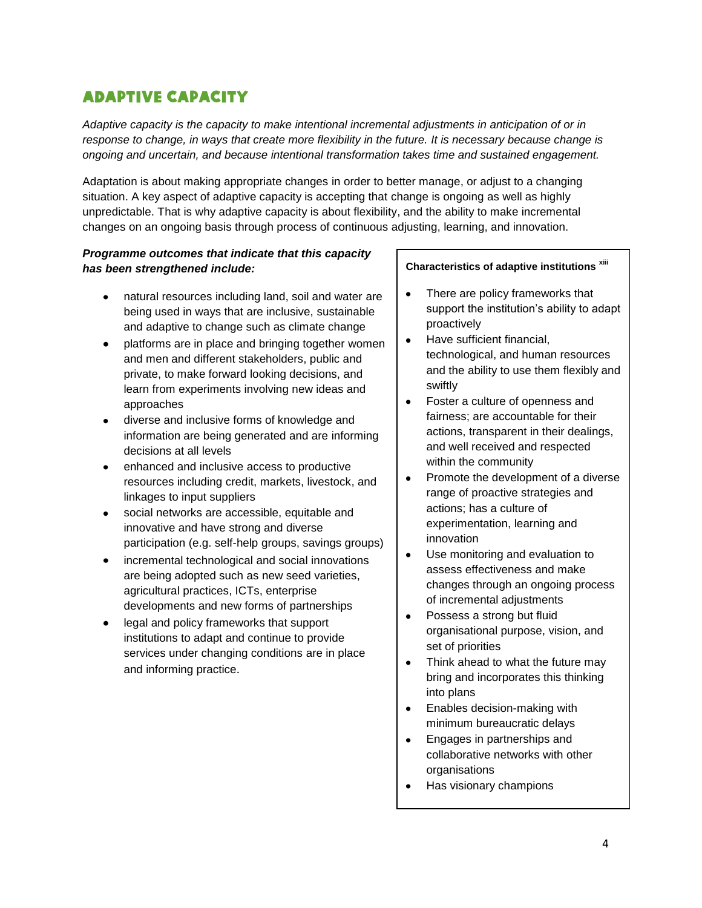## Adaptive Capacity

*Adaptive capacity is the capacity to make intentional incremental adjustments in anticipation of or in response to change, in ways that create more flexibility in the future. It is necessary because change is ongoing and uncertain, and because intentional transformation takes time and sustained engagement.*

Adaptation is about making appropriate changes in order to better manage, or adjust to a changing situation. A key aspect of adaptive capacity is accepting that change is ongoing as well as highly unpredictable. That is why adaptive capacity is about flexibility, and the ability to make incremental changes on an ongoing basis through process of continuous adjusting, learning, and innovation.

#### *Programme outcomes that indicate that this capacity has been strengthened include:*

- natural resources including land, soil and water are being used in ways that are inclusive, sustainable and adaptive to change such as climate change
- platforms are in place and bringing together women and men and different stakeholders, public and private, to make forward looking decisions, and learn from experiments involving new ideas and approaches
- diverse and inclusive forms of knowledge and information are being generated and are informing decisions at all levels
- enhanced and inclusive access to productive resources including credit, markets, livestock, and linkages to input suppliers
- social networks are accessible, equitable and innovative and have strong and diverse participation (e.g. self-help groups, savings groups)
- incremental technological and social innovations are being adopted such as new seed varieties, agricultural practices, ICTs, enterprise developments and new forms of partnerships
- legal and policy frameworks that support institutions to adapt and continue to provide services under changing conditions are in place and informing practice.

#### **Characteristics of adaptive institutions xiii**

- There are policy frameworks that  $\bullet$ support the institution's ability to adapt proactively
- Have sufficient financial,  $\bullet$ technological, and human resources and the ability to use them flexibly and swiftly
- Foster a culture of openness and  $\bullet$ fairness; are accountable for their actions, transparent in their dealings, and well received and respected within the community
- $\bullet$ Promote the development of a diverse range of proactive strategies and actions; has a culture of experimentation, learning and innovation
- Use monitoring and evaluation to  $\bullet$ assess effectiveness and make changes through an ongoing process of incremental adjustments
- $\bullet$ Possess a strong but fluid organisational purpose, vision, and set of priorities
- $\bullet$ Think ahead to what the future may bring and incorporates this thinking into plans
- $\bullet$ Enables decision-making with minimum bureaucratic delays
- Engages in partnerships and  $\bullet$ collaborative networks with other organisations
- Has visionary champions  $\bullet$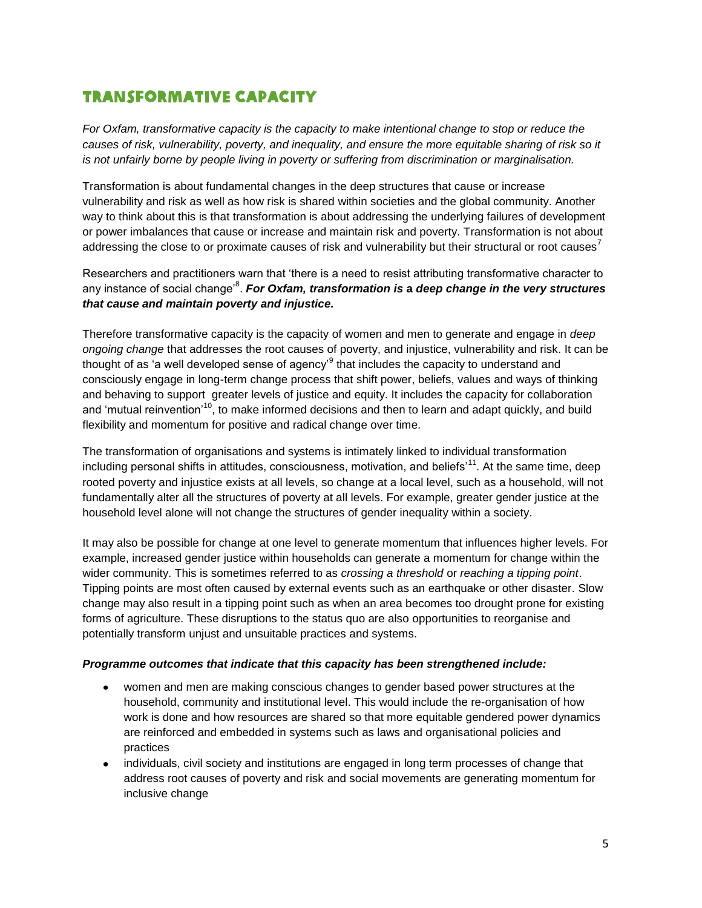## Transformative Capacity

*For Oxfam, transformative capacity is the capacity to make intentional change to stop or reduce the causes of risk, vulnerability, poverty, and inequality, and ensure the more equitable sharing of risk so it is not unfairly borne by people living in poverty or suffering from discrimination or marginalisation.*

Transformation is about fundamental changes in the deep structures that cause or increase vulnerability and risk as well as how risk is shared within societies and the global community. Another way to think about this is that transformation is about addressing the underlying failures of development or power imbalances that cause or increase and maintain risk and poverty. Transformation is not about addressing the close to or proximate causes of risk and vulnerability but their structural or root causes<sup>7</sup>

Researchers and practitioners warn that 'there is a need to resist attributing transformative character to any instance of social change'<sup>8</sup> . *For Oxfam, transformation is* **a** *deep change in the very structures that cause and maintain poverty and injustice.*

Therefore transformative capacity is the capacity of women and men to generate and engage in *deep ongoing change* that addresses the root causes of poverty, and injustice, vulnerability and risk. It can be thought of as 'a well developed sense of agency'<sup>9</sup> that includes the capacity to understand and consciously engage in long-term change process that shift power, beliefs, values and ways of thinking and behaving to support greater levels of justice and equity. It includes the capacity for collaboration and 'mutual reinvention'<sup>10</sup>, to make informed decisions and then to learn and adapt quickly, and build flexibility and momentum for positive and radical change over time.

The transformation of organisations and systems is intimately linked to individual transformation including personal shifts in attitudes, consciousness, motivation, and beliefs'<sup>11</sup>. At the same time, deep rooted poverty and injustice exists at all levels, so change at a local level, such as a household, will not fundamentally alter all the structures of poverty at all levels. For example, greater gender justice at the household level alone will not change the structures of gender inequality within a society.

It may also be possible for change at one level to generate momentum that influences higher levels. For example, increased gender justice within households can generate a momentum for change within the wider community. This is sometimes referred to as *crossing a threshold* or *reaching a tipping point*. Tipping points are most often caused by external events such as an earthquake or other disaster. Slow change may also result in a tipping point such as when an area becomes too drought prone for existing forms of agriculture. These disruptions to the status quo are also opportunities to reorganise and potentially transform unjust and unsuitable practices and systems.

#### *Programme outcomes that indicate that this capacity has been strengthened include:*

- women and men are making conscious changes to gender based power structures at the household, community and institutional level. This would include the re-organisation of how work is done and how resources are shared so that more equitable gendered power dynamics are reinforced and embedded in systems such as laws and organisational policies and practices
- individuals, civil society and institutions are engaged in long term processes of change that address root causes of poverty and risk and social movements are generating momentum for inclusive change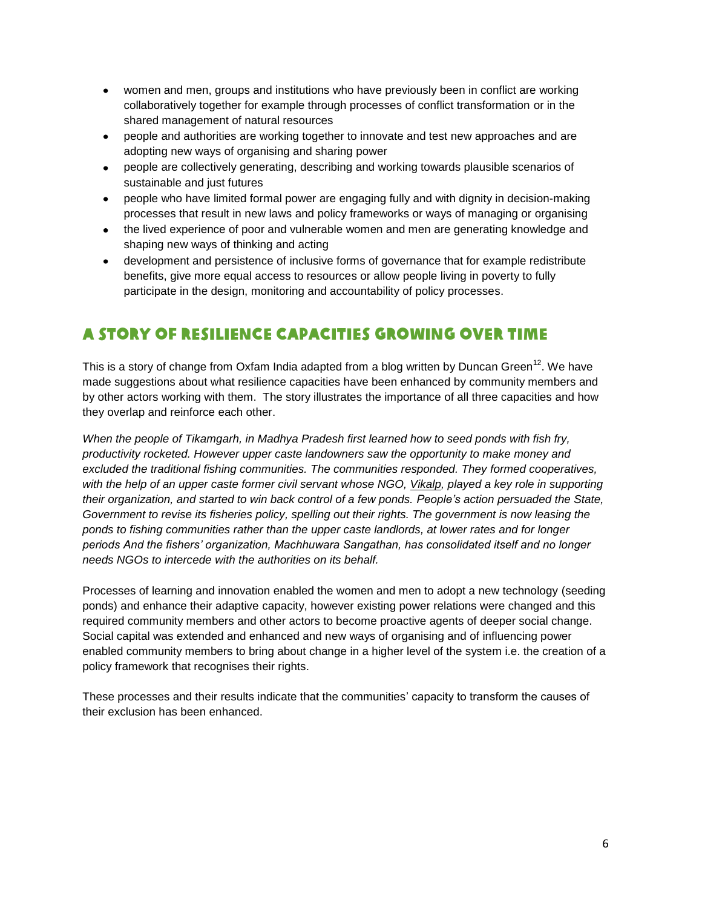- women and men, groups and institutions who have previously been in conflict are working collaboratively together for example through processes of conflict transformation or in the shared management of natural resources
- people and authorities are working together to innovate and test new approaches and are adopting new ways of organising and sharing power
- people are collectively generating, describing and working towards plausible scenarios of sustainable and just futures
- people who have limited formal power are engaging fully and with dignity in decision-making processes that result in new laws and policy frameworks or ways of managing or organising
- the lived experience of poor and vulnerable women and men are generating knowledge and shaping new ways of thinking and acting
- development and persistence of inclusive forms of governance that for example redistribute benefits, give more equal access to resources or allow people living in poverty to fully participate in the design, monitoring and accountability of policy processes.

## A story of resilience capacities growing over time

This is a story of change from Oxfam India adapted from a blog written by Duncan Green<sup>12</sup>. We have made suggestions about what resilience capacities have been enhanced by community members and by other actors working with them. The story illustrates the importance of all three capacities and how they overlap and reinforce each other.

*When the people of Tikamgarh, in Madhya Pradesh first learned how to seed ponds with fish fry, productivity rocketed. However upper caste landowners saw the opportunity to make money and excluded the traditional fishing communities. The communities responded. They formed cooperatives, with the help of an upper caste former civil servant whose NGO, [Vikalp,](https://www.facebook.com/VikalpNgo/info?tab=page_info) played a key role in supporting their organization, and started to win back control of a few ponds. People's action persuaded the State, Government to revise its fisheries policy, spelling out their rights. The government is now leasing the ponds to fishing communities rather than the upper caste landlords, at lower rates and for longer periods And the fishers' organization, Machhuwara Sangathan, has consolidated itself and no longer needs NGOs to intercede with the authorities on its behalf.* 

Processes of learning and innovation enabled the women and men to adopt a new technology (seeding ponds) and enhance their adaptive capacity, however existing power relations were changed and this required community members and other actors to become proactive agents of deeper social change. Social capital was extended and enhanced and new ways of organising and of influencing power enabled community members to bring about change in a higher level of the system i.e. the creation of a policy framework that recognises their rights.

These processes and their results indicate that the communities' capacity to transform the causes of their exclusion has been enhanced.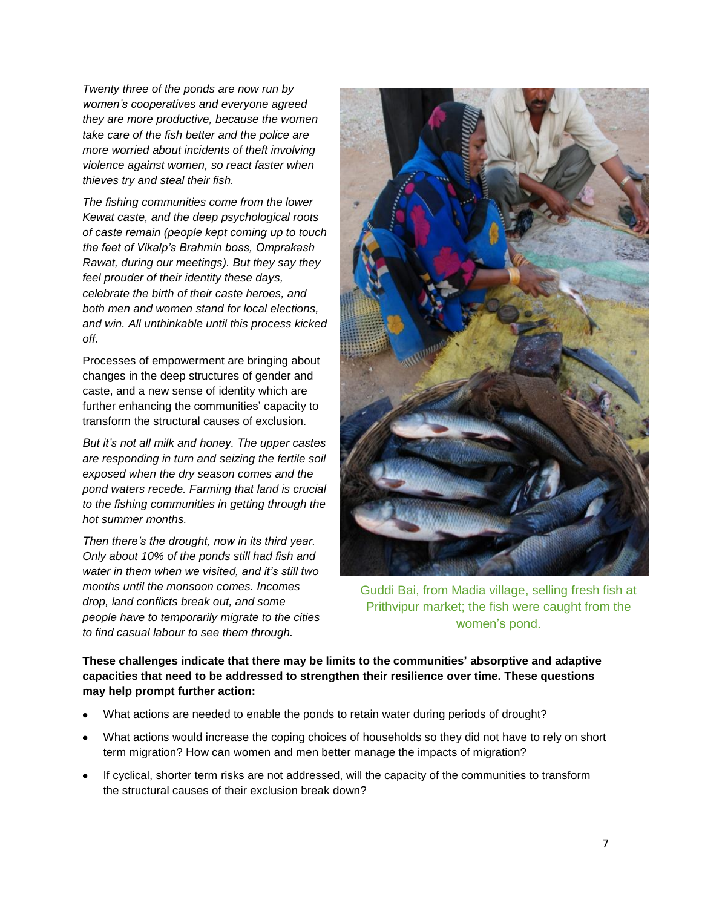*Twenty three of the ponds are now run by women's cooperatives and everyone agreed they are more productive, because the women take care of the fish better and the police are more worried about incidents of theft involving violence against women, so react faster when thieves try and steal their fish.*

*The fishing communities come from the lower Kewat caste, and the deep psychological roots of caste remain (people kept coming up to touch the feet of Vikalp's Brahmin boss, Omprakash Rawat, during our meetings). But they say they feel prouder of their identity these days, celebrate the birth of their caste heroes, and both men and women stand for local elections, and win. All unthinkable until this process kicked off.* 

Processes of empowerment are bringing about changes in the deep structures of gender and caste, and a new sense of identity which are further enhancing the communities' capacity to transform the structural causes of exclusion.

*But it's not all milk and honey. The upper castes are responding in turn and seizing the fertile soil exposed when the dry season comes and the pond waters recede. Farming that land is crucial to the fishing communities in getting through the hot summer months.* 

*Then there's the drought, now in its third year. Only about 10% of the ponds still had fish and water in them when we visited, and it's still two months until the monsoon comes. Incomes drop, land conflicts break out, and some people have to temporarily migrate to the cities to find casual labour to see them through.* 



Guddi Bai, from Madia village, selling fresh fish at Prithvipur market; the fish were caught from the women's pond.

**These challenges indicate that there may be limits to the communities' absorptive and adaptive capacities that need to be addressed to strengthen their resilience over time. These questions may help prompt further action:** 

- What actions are needed to enable the ponds to retain water during periods of drought?
- What actions would increase the coping choices of households so they did not have to rely on short term migration? How can women and men better manage the impacts of migration?
- If cyclical, shorter term risks are not addressed, will the capacity of the communities to transform the structural causes of their exclusion break down?